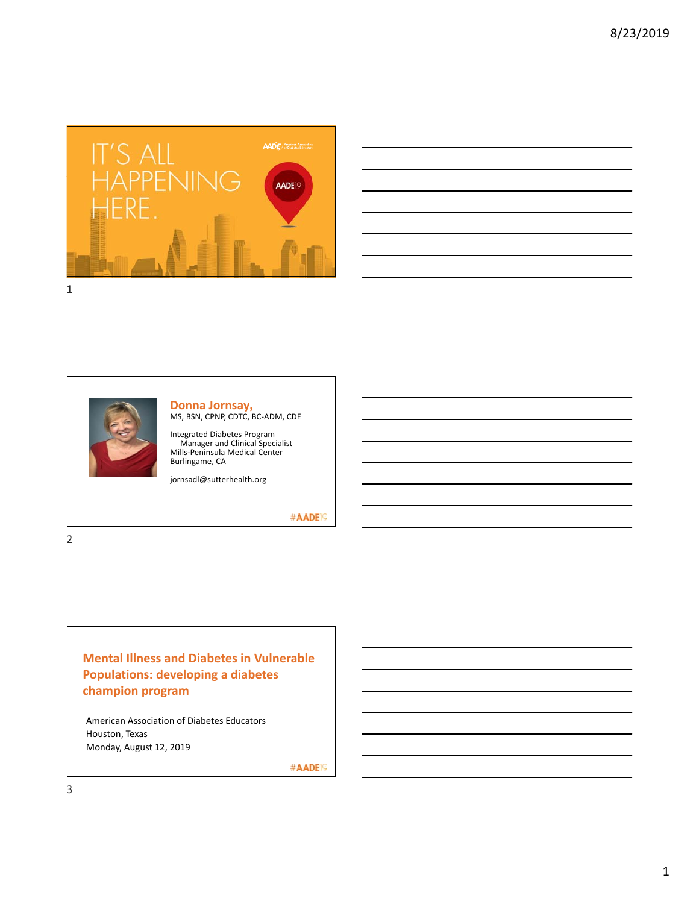

| <u> Alexandro de la contrada de la contrada de la contrada de la contrada de la contrada de la contrada de la co</u> |  |  |  |                          |
|----------------------------------------------------------------------------------------------------------------------|--|--|--|--------------------------|
|                                                                                                                      |  |  |  |                          |
| and the control of the control of the control of the control of the control of the control of the control of the     |  |  |  |                          |
|                                                                                                                      |  |  |  |                          |
|                                                                                                                      |  |  |  | $\overline{\phantom{a}}$ |
|                                                                                                                      |  |  |  |                          |
| <u> 1989 - Andrea Santa Andrea Andrea Andrea Andrea Andrea Andrea Andrea Andrea Andrea Andrea Andrea Andrea Andr</u> |  |  |  |                          |
|                                                                                                                      |  |  |  |                          |



# **Donna Jornsay,**<br>MS, BSN, CPNP, CDTC, BC-ADM, CDE

Integrated Diabetes Program Manager and Clinical Specialist Mills‐Peninsula Medical Center Burlingame, CA

jornsadl@sutterhealth.org

#AADE<sup>19</sup>

**Mental Illness and Diabetes in Vulnerable Populations: developing a diabetes champion program**

American Association of Diabetes Educators Houston, Texas Monday, August 12, 2019

#AADE<sup>19</sup>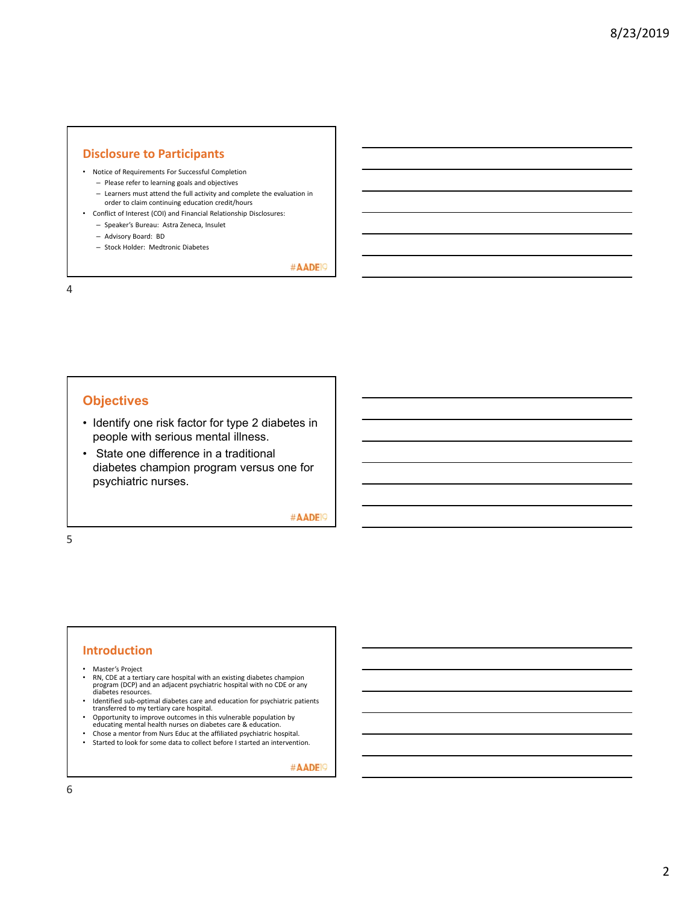## **Disclosure to Participants**

- Notice of Requirements For Successful Completion
	- Please refer to learning goals and objectives
	- Learners must attend the full activity and complete the evaluation in order to claim continuing education credit/hours
- Conflict of Interest (COI) and Financial Relationship Disclosures:
	- Speaker's Bureau: Astra Zeneca, Insulet
	- Advisory Board: BD
	- Stock Holder: Medtronic Diabetes

#AADE<sup>19</sup>

4

## **Objectives**

- Identify one risk factor for type 2 diabetes in people with serious mental illness.
- State one difference in a traditional diabetes champion program versus one for psychiatric nurses.

#AADE<sup>19</sup>

5

## **Introduction**

- Master's Project<br>• PN CDE at a text
- RN, CDE at a tertiary care hospital with an existing diabetes champion program (DCP) and an adjacent psychiatric hospital with no CDE or any diabetes resources.
- Identified sub‐optimal diabetes care and education for psychiatric patients transferred to my tertiary care hospital.
- Opportunity to improve outcomes in this vulnerable population by educating mental health nurses on diabetes care & education.
- 
- Chose a mentor from Nurs Educ at the affiliated psychiatric hospital. Started to look for some data to collect before I started an intervention.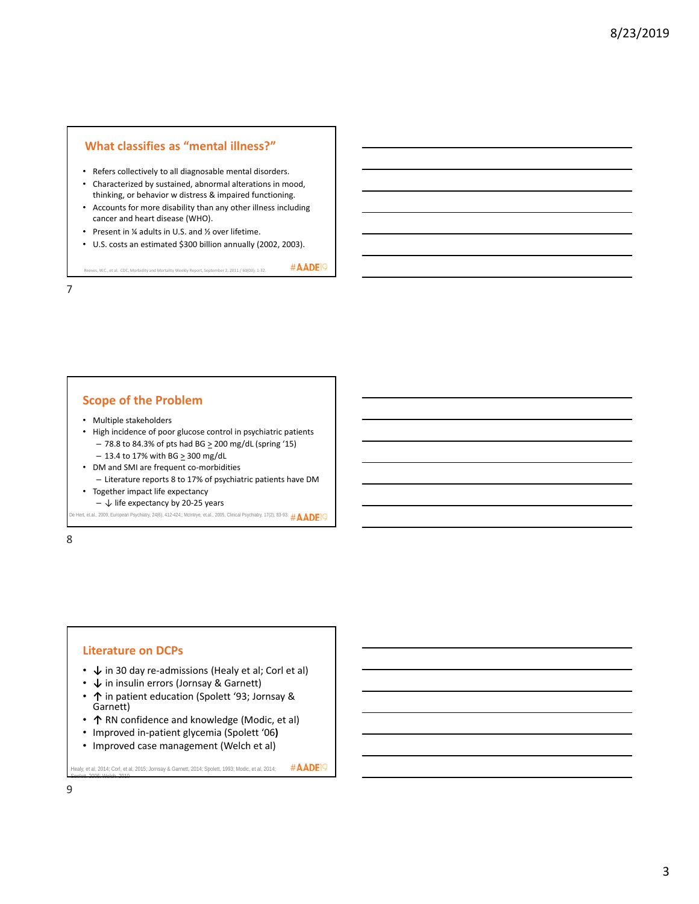## **What classifies as "mental illness?"**

- Refers collectively to all diagnosable mental disorders.
- Characterized by sustained, abnormal alterations in mood, thinking, or behavior w distress & impaired functioning.
- Accounts for more disability than any other illness including cancer and heart disease (WHO).
- Present in ¼ adults in U.S. and ½ over lifetime.

ves, W.C., et al. CDC, Morbidity and Mortality Weekly Report, September 2, 2011 / 60(03); 1-32.

• U.S. costs an estimated \$300 billion annually (2002, 2003).

#AADE<sup>1</sup>

7

## **Scope of the Problem**

- Multiple stakeholders
- High incidence of poor glucose control in psychiatric patients  $-78.8$  to 84.3% of pts had BG  $\geq 200$  mg/dL (spring '15)  $-13.4$  to 17% with BG  $\geq$  300 mg/dL
- DM and SMI are frequent co-morbidities
- Literature reports 8 to 17% of psychiatric patients have DM • Together impact life expectancy
- $-\sqrt{ }$  life expectancy by 20-25 years

```
De Hert, et.al., 2009, European Psychiatry, 24(6), 412-424;; McIntrye, et.al., 2005, Clinical Psychiatry, 17(2), 83-93. \#\mathsf{ADEP} O
```
8

#### **Literature on DCPs**

- **↓** in 30 day re‐admissions (Healy et al; Corl et al)
- **↓** in insulin errors (Jornsay & Garnett)
- **↑** in patient education (Spolett '93; Jornsay & Garnett)
- **↑** RN confidence and knowledge (Modic, et al)
- Improved in‐patient glycemia (Spolett '06**)**
- Improved case management (Welch et al)

#AADE<sup>1</sup> Healy, et al, 2014; Corl, et al, 2015; Jornsay & Garnett, 2014; Spolett, 1993; Modic, et al, 2014;

Spolett, 2006; Welch, 2010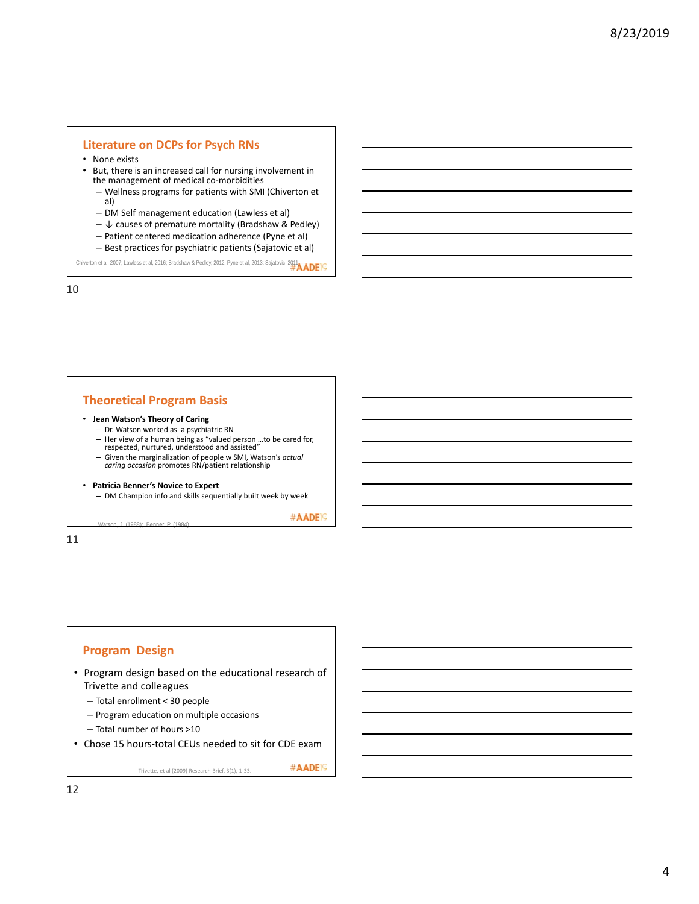### **Literature on DCPs for Psych RNs**

- None exists
- But, there is an increased call for nursing involvement in the management of medical co-morbidities
	- Wellness programs for patients with SMI (Chiverton et al)
	- DM Self management education (Lawless et al)
	- $-\bigarrow$  causes of premature mortality (Bradshaw & Pedley)
	- Patient centered medication adherence (Pyne et al)
	- Best practices for psychiatric patients (Sajatovic et al)

Chiverton et al, 2007; Lawless et al, 2016; Bradshaw & Pedley, 2012; Pyne et al, 2013; Sajatovic, 2014

10

## **Theoretical Program Basis**

#### • **Jean Watson's Theory of Caring**

- Dr. Watson worked as a psychiatric RN
- Her view of a human being as "valued person …to be cared for, respected, nurtured, understood and assisted"
- Given the marginalization of people w SMI, Watson's *actual caring occasion* promotes RN/patient relationship

#### • **Patricia Benner's Novice to Expert**

Watson, J. (1988); Benner, P. (1984)

– DM Champion info and skills sequentially built week by week

#AADE<sup>1</sup>

#AADE<sup>19</sup>

11

## **Program Design**

- Program design based on the educational research of Trivette and colleagues
	- Total enrollment < 30 people
	- Program education on multiple occasions
	- Total number of hours >10
- Chose 15 hours‐total CEUs needed to sit for CDE exam

Trivette, et al (2009) Research Brief, 3(1), 1‐33.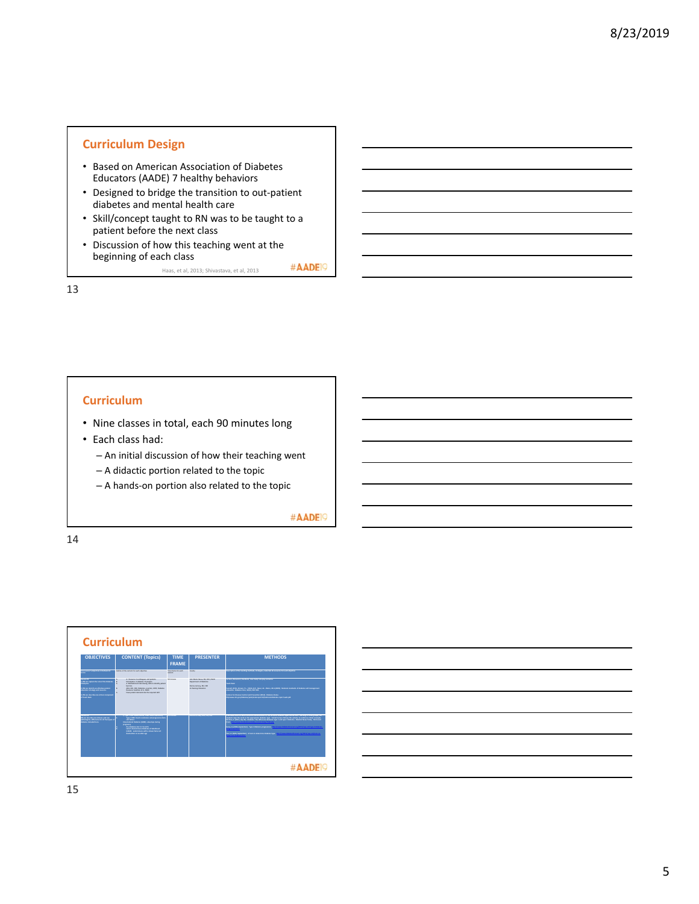# **Curriculum Design**

- Based on American Association of Diabetes Educators (AADE) 7 healthy behaviors
- Designed to bridge the transition to out‐patient diabetes and mental health care
- Skill/concept taught to RN was to be taught to a patient before the next class
- Discussion of how this teaching went at the beginning of each class #AADE<sup>19</sup>

Haas, et al, 2013; Shivastava, et al, 2013

13

## **Curriculum**

- Nine classes in total, each 90 minutes long
- Each class had:
	- An initial discussion of how their teaching went
	- A didactic portion related to the topic
	- A hands‐on portion also related to the topic

#AADE<sup>19</sup>

14

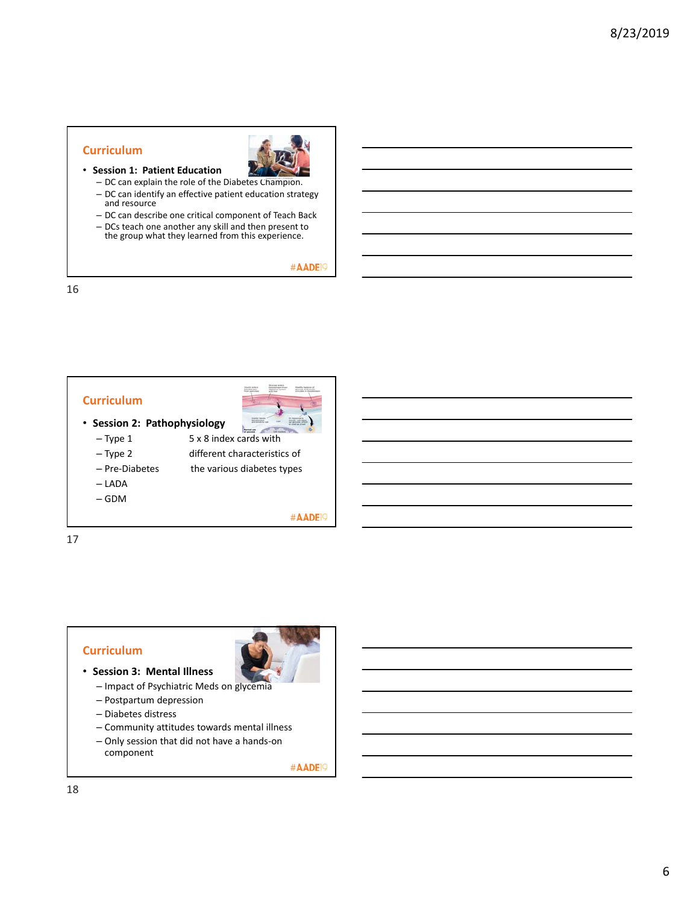## **Curriculum**

- **Session 1: Patient Education**
	- DC can explain the role of the Diabetes Champion.
	- DC can identify an effective patient education strategy and resource
	- DC can describe one critical component of Teach Back
	- DCs teach one another any skill and then present to the group what they learned from this experience.

#AADE<sup>19</sup>

16



- 
- 
- Pre-Diabetes the various diabetes types
- LADA
- GDM

#AADE<sup>19</sup>

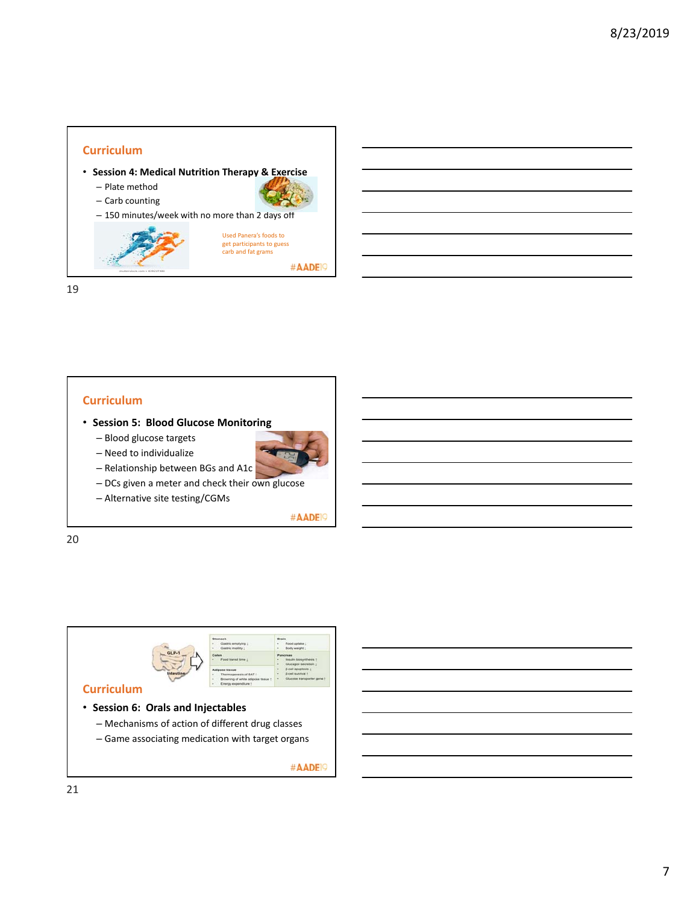## **Curriculum**

- **Session 4: Medical Nutrition Therapy & Exercise** – Plate method
	- Carb counting

– 150 minutes/week with no more than 2 days off



19

## **Curriculum**

- **Session 5: Blood Glucose Monitoring**
	- Blood glucose targets
	- Need to individualize



- DCs given a meter and check their own glucose
- Alternative site testing/CGMs

#AADE<sup>19</sup>

#AADE<sup>19</sup>

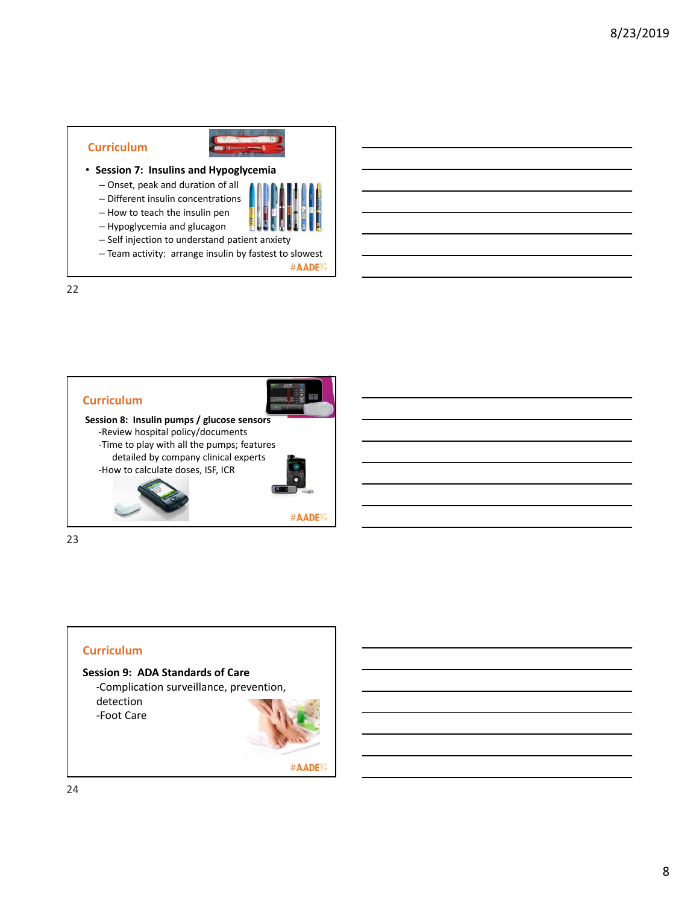# **Curriculum**



- **Session 7: Insulins and Hypoglycemia**
	- Onset, peak and duration of all
	- Different insulin concentrations – How to teach the insulin pen



#AADE<sup>19</sup>

- Self injection to understand patient anxiety
- Team activity: arrange insulin by fastest to slowest



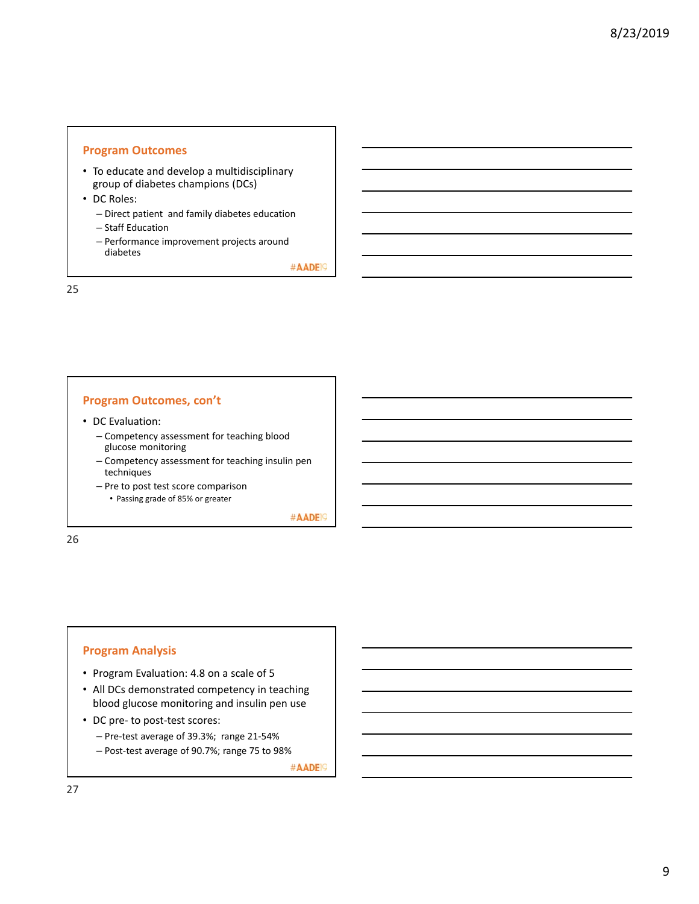## **Program Outcomes**

- To educate and develop a multidisciplinary group of diabetes champions (DCs)
- DC Roles:
	- Direct patient and family diabetes education
	- Staff Education
	- Performance improvement projects around diabetes

#AADE<sup>19</sup>

25

## **Program Outcomes, con't**

- DC Evaluation:
	- Competency assessment for teaching blood glucose monitoring
	- Competency assessment for teaching insulin pen techniques
	- Pre to post test score comparison
		- Passing grade of 85% or greater

#AADE<sup>19</sup>

26

## **Program Analysis**

- Program Evaluation: 4.8 on a scale of 5
- All DCs demonstrated competency in teaching blood glucose monitoring and insulin pen use
- DC pre- to post-test scores:
	- Pre‐test average of 39.3%; range 21‐54%
	- Post‐test average of 90.7%; range 75 to 98%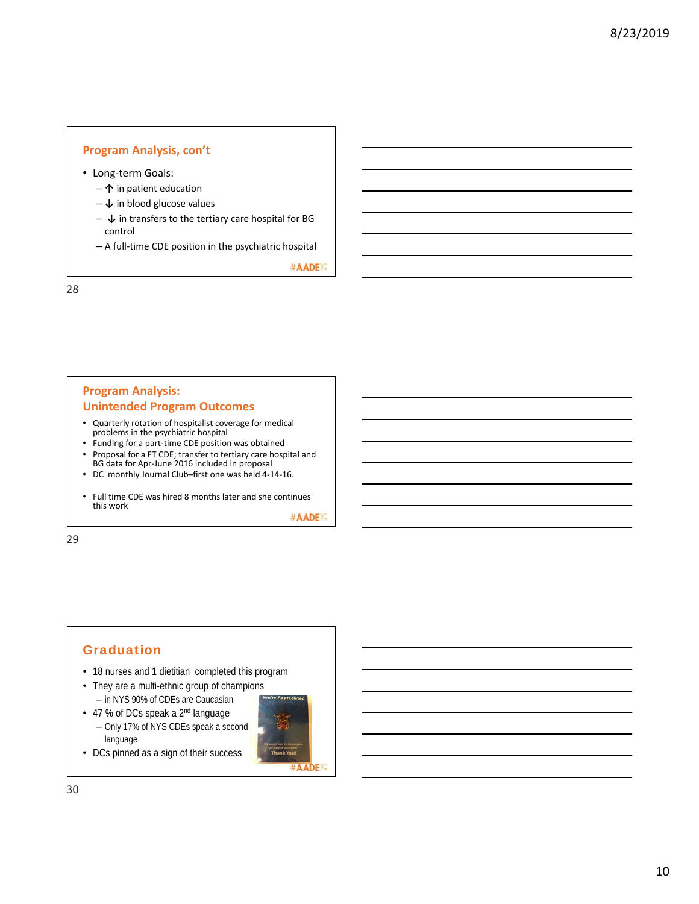## **Program Analysis, con't**

- Long‐term Goals:
	- **↑** in patient education
	- **↓** in blood glucose values
	- **↓** in transfers to the tertiary care hospital for BG control
	- A full‐time CDE position in the psychiatric hospital

#AADE<sup>19</sup>

28

# **Program Analysis: Unintended Program Outcomes**

- Quarterly rotation of hospitalist coverage for medical problems in the psychiatric hospital
- Funding for a part‐time CDE position was obtained
- Proposal for a FT CDE; transfer to tertiary care hospital and BG data for Apr‐June 2016 included in proposal
- DC monthly Journal Club–first one was held 4‐14‐16.
- Full time CDE was hired 8 months later and she continues this work

#AADE<sup>19</sup>

29

# Graduation

- 18 nurses and 1 dietitian completed this program
- They are a multi-ethnic group of champions – in NYS 90% of CDEs are Caucasian
- 47 % of DCs speak a 2<sup>nd</sup> language – Only 17% of NYS CDEs speak a second language
- DCs pinned as a sign of their success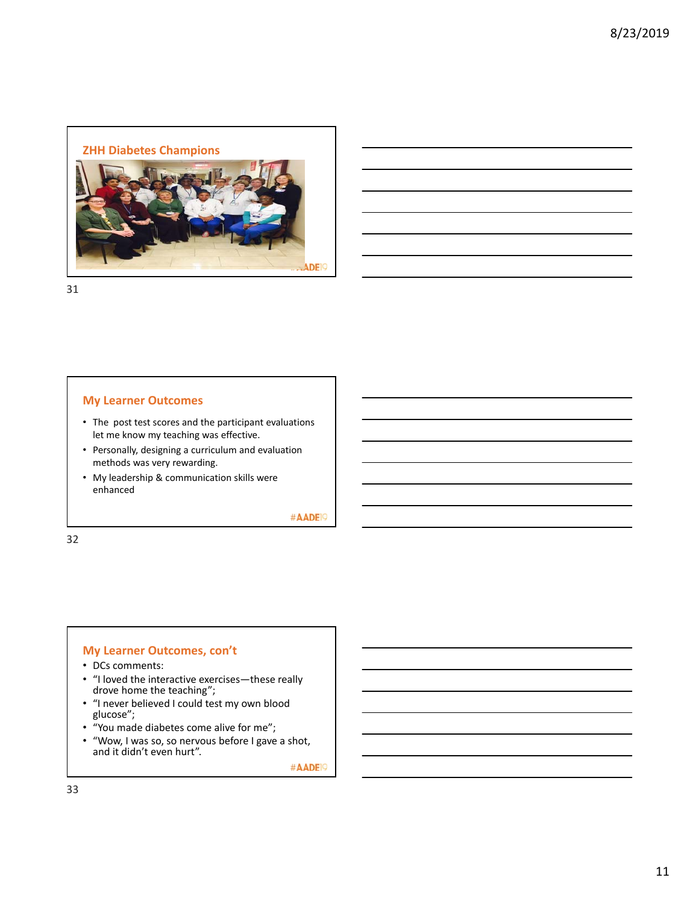

31

## **My Learner Outcomes**

- The post test scores and the participant evaluations let me know my teaching was effective.
- Personally, designing a curriculum and evaluation methods was very rewarding.
- My leadership & communication skills were enhanced

#AADE<sup>19</sup>

32

## **My Learner Outcomes, con't**

- DCs comments:
- "I loved the interactive exercises—these really drove home the teaching";
- "I never believed I could test my own blood glucose";
- "You made diabetes come alive for me";
- "Wow, I was so, so nervous before I gave a shot, and it didn't even hurt".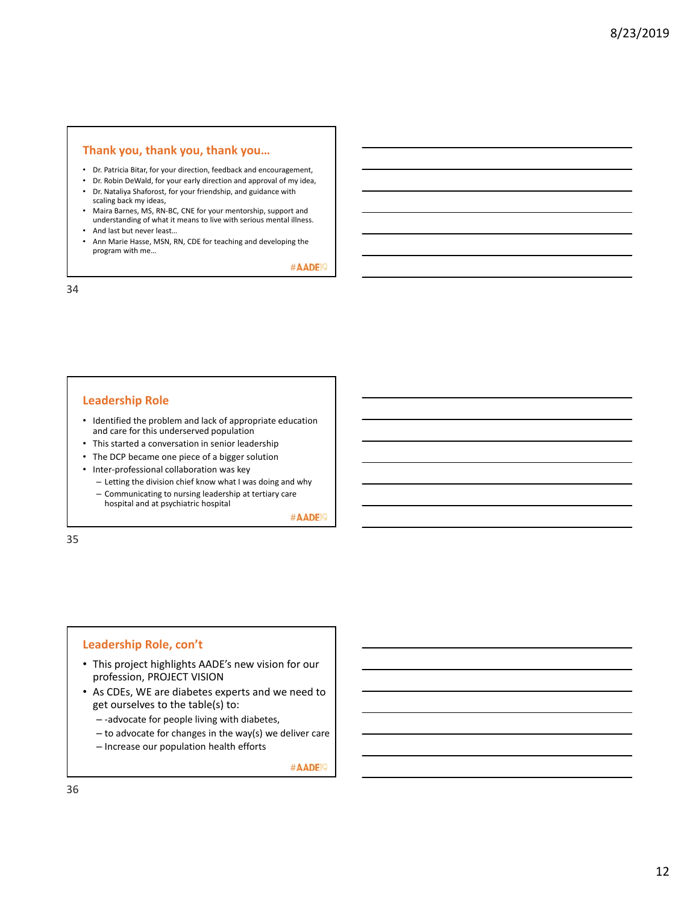#### **Thank you, thank you, thank you…**

- Dr. Patricia Bitar, for your direction, feedback and encouragement,
- Dr. Robin DeWald, for your early direction and approval of my idea,
- Dr. Nataliya Shaforost, for your friendship, and guidance with scaling back my ideas,
- Maira Barnes, MS, RN‐BC, CNE for your mentorship, support and understanding of what it means to live with serious mental illness.
- And last but never least…
- Ann Marie Hasse, MSN, RN, CDE for teaching and developing the program with me…

#AADE<sup>19</sup>

34

## **Leadership Role**

- Identified the problem and lack of appropriate education and care for this underserved population
- This started a conversation in senior leadership
- The DCP became one piece of a bigger solution
- Inter‐professional collaboration was key
- Letting the division chief know what I was doing and why
- Communicating to nursing leadership at tertiary care hospital and at psychiatric hospital

#AADE<sup>1</sup>

35

#### **Leadership Role, con't**

- This project highlights AADE's new vision for our profession, PROJECT VISION
- As CDEs, WE are diabetes experts and we need to get ourselves to the table(s) to:
	- ‐advocate for people living with diabetes,
	- to advocate for changes in the way(s) we deliver care
	- Increase our population health efforts